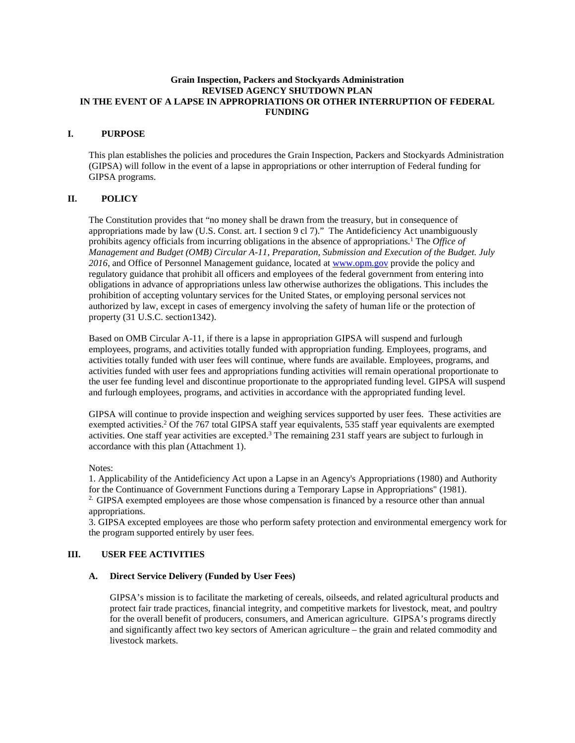### **Grain Inspection, Packers and Stockyards Administration REVISED AGENCY SHUTDOWN PLAN IN THE EVENT OF A LAPSE IN APPROPRIATIONS OR OTHER INTERRUPTION OF FEDERAL FUNDING**

## **I. PURPOSE**

This plan establishes the policies and procedures the Grain Inspection, Packers and Stockyards Administration (GIPSA) will follow in the event of a lapse in appropriations or other interruption of Federal funding for GIPSA programs.

# **II. POLICY**

The Constitution provides that "no money shall be drawn from the treasury, but in consequence of appropriations made by law (U.S. Const. art. I section 9 cl 7)." The Antideficiency Act unambiguously prohibits agency officials from incurring obligations in the absence of appropriations.1 The *Office of Management and Budget (OMB) Circular A-11, Preparation, Submission and Execution of the Budget. July 2016*, and Office of Personnel Management guidance, located at [www.opm.gov](http://www.opm.gov/) provide the policy and regulatory guidance that prohibit all officers and employees of the federal government from entering into obligations in advance of appropriations unless law otherwise authorizes the obligations. This includes the prohibition of accepting voluntary services for the United States, or employing personal services not authorized by law, except in cases of emergency involving the safety of human life or the protection of property (31 U.S.C. section1342).

Based on OMB Circular A-11, if there is a lapse in appropriation GIPSA will suspend and furlough employees, programs, and activities totally funded with appropriation funding. Employees, programs, and activities totally funded with user fees will continue, where funds are available. Employees, programs, and activities funded with user fees and appropriations funding activities will remain operational proportionate to the user fee funding level and discontinue proportionate to the appropriated funding level. GIPSA will suspend and furlough employees, programs, and activities in accordance with the appropriated funding level.

GIPSA will continue to provide inspection and weighing services supported by user fees. These activities are exempted activities.2 Of the 767 total GIPSA staff year equivalents, 535 staff year equivalents are exempted activities. One staff year activities are excepted.3 The remaining 231 staff years are subject to furlough in accordance with this plan (Attachment 1).

Notes:

1. Applicability of the Antideficiency Act upon a Lapse in an Agency's Appropriations (1980) and Authority <sup>2.</sup> GIPSA exempted employees are those whose compensation is financed by a resource other than annual appropriations.

3. GIPSA excepted employees are those who perform safety protection and environmental emergency work for the program supported entirely by user fees.

# **III. USER FEE ACTIVITIES**

# **A. Direct Service Delivery (Funded by User Fees)**

GIPSA's mission is to facilitate the marketing of cereals, oilseeds, and related agricultural products and protect fair trade practices, financial integrity, and competitive markets for livestock, meat, and poultry for the overall benefit of producers, consumers, and American agriculture. GIPSA's programs directly and significantly affect two key sectors of American agriculture – the grain and related commodity and livestock markets.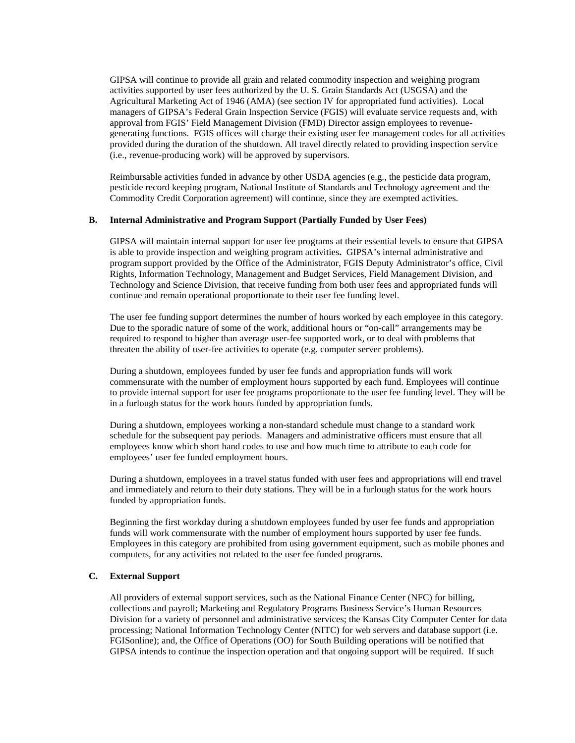GIPSA will continue to provide all grain and related commodity inspection and weighing program activities supported by user fees authorized by the U. S. Grain Standards Act (USGSA) and the Agricultural Marketing Act of 1946 (AMA) (see section IV for appropriated fund activities). Local managers of GIPSA's Federal Grain Inspection Service (FGIS) will evaluate service requests and, with approval from FGIS' Field Management Division (FMD) Director assign employees to revenuegenerating functions. FGIS offices will charge their existing user fee management codes for all activities provided during the duration of the shutdown. All travel directly related to providing inspection service (i.e., revenue-producing work) will be approved by supervisors.

Reimbursable activities funded in advance by other USDA agencies (e.g., the pesticide data program, pesticide record keeping program, National Institute of Standards and Technology agreement and the Commodity Credit Corporation agreement) will continue, since they are exempted activities.

#### **B. Internal Administrative and Program Support (Partially Funded by User Fees)**

GIPSA will maintain internal support for user fee programs at their essential levels to ensure that GIPSA is able to provide inspection and weighing program activities**.** GIPSA's internal administrative and program support provided by the Office of the Administrator, FGIS Deputy Administrator's office, Civil Rights, Information Technology, Management and Budget Services, Field Management Division, and Technology and Science Division, that receive funding from both user fees and appropriated funds will continue and remain operational proportionate to their user fee funding level.

The user fee funding support determines the number of hours worked by each employee in this category. Due to the sporadic nature of some of the work, additional hours or "on-call" arrangements may be required to respond to higher than average user-fee supported work, or to deal with problems that threaten the ability of user-fee activities to operate (e.g. computer server problems).

During a shutdown, employees funded by user fee funds and appropriation funds will work commensurate with the number of employment hours supported by each fund. Employees will continue to provide internal support for user fee programs proportionate to the user fee funding level. They will be in a furlough status for the work hours funded by appropriation funds.

During a shutdown, employees working a non-standard schedule must change to a standard work schedule for the subsequent pay periods. Managers and administrative officers must ensure that all employees know which short hand codes to use and how much time to attribute to each code for employees' user fee funded employment hours.

During a shutdown, employees in a travel status funded with user fees and appropriations will end travel and immediately and return to their duty stations. They will be in a furlough status for the work hours funded by appropriation funds.

Beginning the first workday during a shutdown employees funded by user fee funds and appropriation funds will work commensurate with the number of employment hours supported by user fee funds. Employees in this category are prohibited from using government equipment, such as mobile phones and computers, for any activities not related to the user fee funded programs.

#### **C. External Support**

All providers of external support services, such as the National Finance Center (NFC) for billing, collections and payroll; Marketing and Regulatory Programs Business Service's Human Resources Division for a variety of personnel and administrative services; the Kansas City Computer Center for data processing; National Information Technology Center (NITC) for web servers and database support (i.e. FGISonline); and, the Office of Operations (OO) for South Building operations will be notified that GIPSA intends to continue the inspection operation and that ongoing support will be required. If such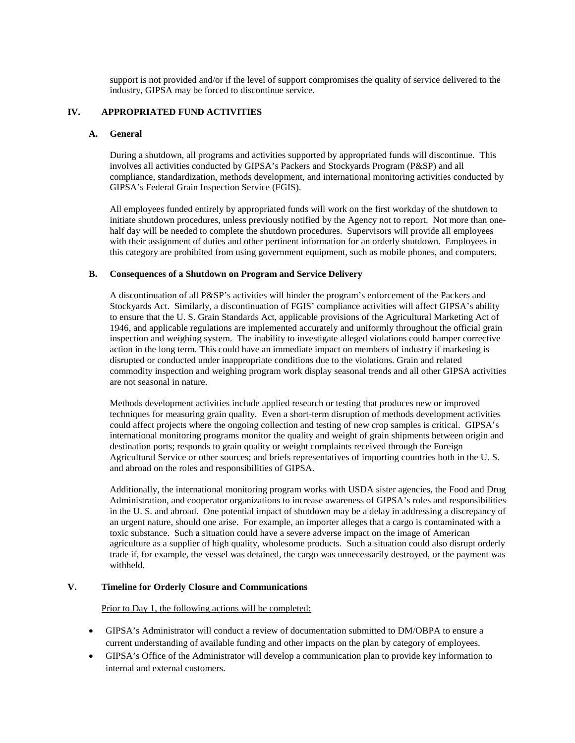support is not provided and/or if the level of support compromises the quality of service delivered to the industry, GIPSA may be forced to discontinue service.

# **IV. APPROPRIATED FUND ACTIVITIES**

## **A. General**

During a shutdown, all programs and activities supported by appropriated funds will discontinue. This involves all activities conducted by GIPSA's Packers and Stockyards Program (P&SP) and all compliance, standardization, methods development, and international monitoring activities conducted by GIPSA's Federal Grain Inspection Service (FGIS).

All employees funded entirely by appropriated funds will work on the first workday of the shutdown to initiate shutdown procedures, unless previously notified by the Agency not to report. Not more than onehalf day will be needed to complete the shutdown procedures. Supervisors will provide all employees with their assignment of duties and other pertinent information for an orderly shutdown. Employees in this category are prohibited from using government equipment, such as mobile phones, and computers.

#### **B. Consequences of a Shutdown on Program and Service Delivery**

A discontinuation of all P&SP's activities will hinder the program's enforcement of the Packers and Stockyards Act. Similarly, a discontinuation of FGIS' compliance activities will affect GIPSA's ability to ensure that the U. S. Grain Standards Act, applicable provisions of the Agricultural Marketing Act of 1946, and applicable regulations are implemented accurately and uniformly throughout the official grain inspection and weighing system. The inability to investigate alleged violations could hamper corrective action in the long term. This could have an immediate impact on members of industry if marketing is disrupted or conducted under inappropriate conditions due to the violations. Grain and related commodity inspection and weighing program work display seasonal trends and all other GIPSA activities are not seasonal in nature.

Methods development activities include applied research or testing that produces new or improved techniques for measuring grain quality. Even a short-term disruption of methods development activities could affect projects where the ongoing collection and testing of new crop samples is critical. GIPSA's international monitoring programs monitor the quality and weight of grain shipments between origin and destination ports; responds to grain quality or weight complaints received through the Foreign Agricultural Service or other sources; and briefs representatives of importing countries both in the U. S. and abroad on the roles and responsibilities of GIPSA.

Additionally, the international monitoring program works with USDA sister agencies, the Food and Drug Administration, and cooperator organizations to increase awareness of GIPSA's roles and responsibilities in the U. S. and abroad. One potential impact of shutdown may be a delay in addressing a discrepancy of an urgent nature, should one arise. For example, an importer alleges that a cargo is contaminated with a toxic substance. Such a situation could have a severe adverse impact on the image of American agriculture as a supplier of high quality, wholesome products. Such a situation could also disrupt orderly trade if, for example, the vessel was detained, the cargo was unnecessarily destroyed, or the payment was withheld.

### **V. Timeline for Orderly Closure and Communications**

Prior to Day 1, the following actions will be completed:

- GIPSA's Administrator will conduct a review of documentation submitted to DM/OBPA to ensure a current understanding of available funding and other impacts on the plan by category of employees.
- GIPSA's Office of the Administrator will develop a communication plan to provide key information to internal and external customers.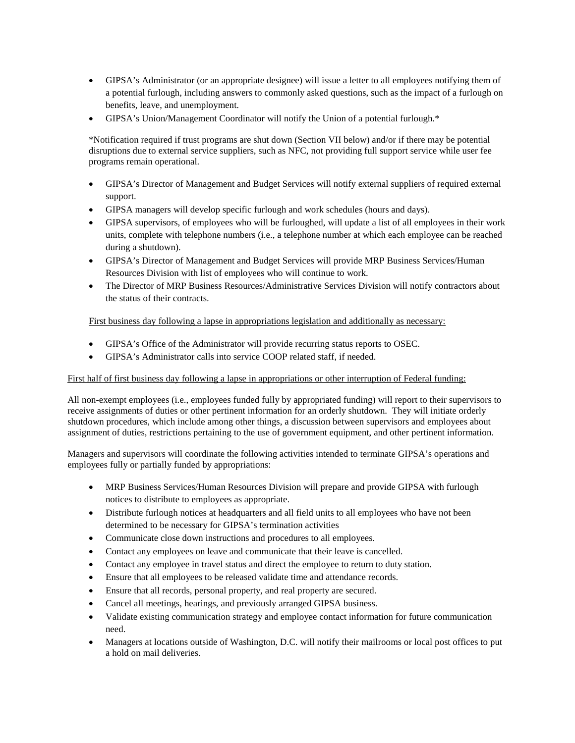- GIPSA's Administrator (or an appropriate designee) will issue a letter to all employees notifying them of a potential furlough, including answers to commonly asked questions, such as the impact of a furlough on benefits, leave, and unemployment.
- GIPSA's Union/Management Coordinator will notify the Union of a potential furlough.\*

\*Notification required if trust programs are shut down (Section VII below) and/or if there may be potential disruptions due to external service suppliers, such as NFC, not providing full support service while user fee programs remain operational.

- GIPSA's Director of Management and Budget Services will notify external suppliers of required external support.
- GIPSA managers will develop specific furlough and work schedules (hours and days).
- GIPSA supervisors, of employees who will be furloughed, will update a list of all employees in their work units, complete with telephone numbers (i.e., a telephone number at which each employee can be reached during a shutdown).
- GIPSA's Director of Management and Budget Services will provide MRP Business Services/Human Resources Division with list of employees who will continue to work.
- The Director of MRP Business Resources/Administrative Services Division will notify contractors about the status of their contracts.

First business day following a lapse in appropriations legislation and additionally as necessary:

- GIPSA's Office of the Administrator will provide recurring status reports to OSEC.
- GIPSA's Administrator calls into service COOP related staff, if needed.

# First half of first business day following a lapse in appropriations or other interruption of Federal funding:

All non-exempt employees (i.e., employees funded fully by appropriated funding) will report to their supervisors to receive assignments of duties or other pertinent information for an orderly shutdown. They will initiate orderly shutdown procedures, which include among other things, a discussion between supervisors and employees about assignment of duties, restrictions pertaining to the use of government equipment, and other pertinent information.

Managers and supervisors will coordinate the following activities intended to terminate GIPSA's operations and employees fully or partially funded by appropriations:

- MRP Business Services/Human Resources Division will prepare and provide GIPSA with furlough notices to distribute to employees as appropriate.
- Distribute furlough notices at headquarters and all field units to all employees who have not been determined to be necessary for GIPSA's termination activities
- Communicate close down instructions and procedures to all employees.
- Contact any employees on leave and communicate that their leave is cancelled.
- Contact any employee in travel status and direct the employee to return to duty station.
- Ensure that all employees to be released validate time and attendance records.
- Ensure that all records, personal property, and real property are secured.
- Cancel all meetings, hearings, and previously arranged GIPSA business.
- Validate existing communication strategy and employee contact information for future communication need.
- Managers at locations outside of Washington, D.C. will notify their mailrooms or local post offices to put a hold on mail deliveries.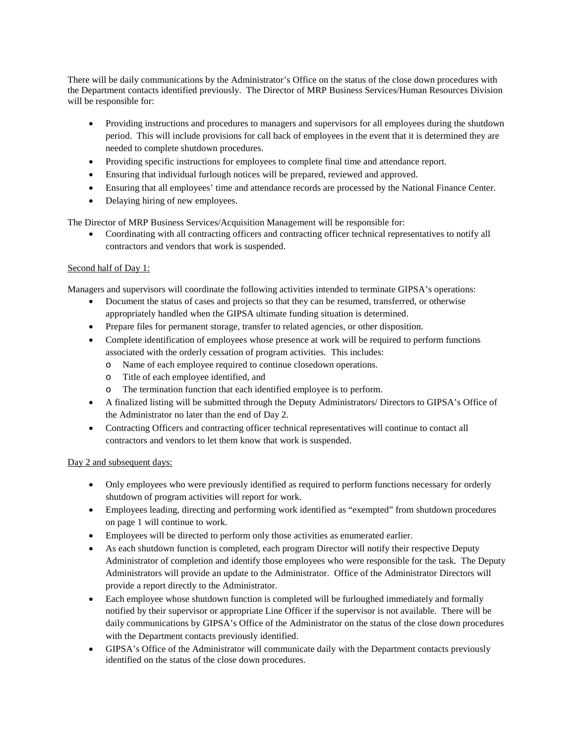There will be daily communications by the Administrator's Office on the status of the close down procedures with the Department contacts identified previously. The Director of MRP Business Services/Human Resources Division will be responsible for:

- Providing instructions and procedures to managers and supervisors for all employees during the shutdown period. This will include provisions for call back of employees in the event that it is determined they are needed to complete shutdown procedures.
- Providing specific instructions for employees to complete final time and attendance report.
- Ensuring that individual furlough notices will be prepared, reviewed and approved.
- Ensuring that all employees' time and attendance records are processed by the National Finance Center.
- Delaying hiring of new employees.

The Director of MRP Business Services/Acquisition Management will be responsible for:

• Coordinating with all contracting officers and contracting officer technical representatives to notify all contractors and vendors that work is suspended.

# Second half of Day 1:

Managers and supervisors will coordinate the following activities intended to terminate GIPSA's operations:

- Document the status of cases and projects so that they can be resumed, transferred, or otherwise appropriately handled when the GIPSA ultimate funding situation is determined.
- Prepare files for permanent storage, transfer to related agencies, or other disposition.
- Complete identification of employees whose presence at work will be required to perform functions associated with the orderly cessation of program activities. This includes:
	- o Name of each employee required to continue closedown operations.
	- o Title of each employee identified, and
	- o The termination function that each identified employee is to perform.
- A finalized listing will be submitted through the Deputy Administrators/ Directors to GIPSA's Office of the Administrator no later than the end of Day 2.
- Contracting Officers and contracting officer technical representatives will continue to contact all contractors and vendors to let them know that work is suspended.

# Day 2 and subsequent days:

- Only employees who were previously identified as required to perform functions necessary for orderly shutdown of program activities will report for work.
- Employees leading, directing and performing work identified as "exempted" from shutdown procedures on page 1 will continue to work.
- Employees will be directed to perform only those activities as enumerated earlier.
- As each shutdown function is completed, each program Director will notify their respective Deputy Administrator of completion and identify those employees who were responsible for the task. The Deputy Administrators will provide an update to the Administrator. Office of the Administrator Directors will provide a report directly to the Administrator.
- Each employee whose shutdown function is completed will be furloughed immediately and formally notified by their supervisor or appropriate Line Officer if the supervisor is not available. There will be daily communications by GIPSA's Office of the Administrator on the status of the close down procedures with the Department contacts previously identified.
- GIPSA's Office of the Administrator will communicate daily with the Department contacts previously identified on the status of the close down procedures.